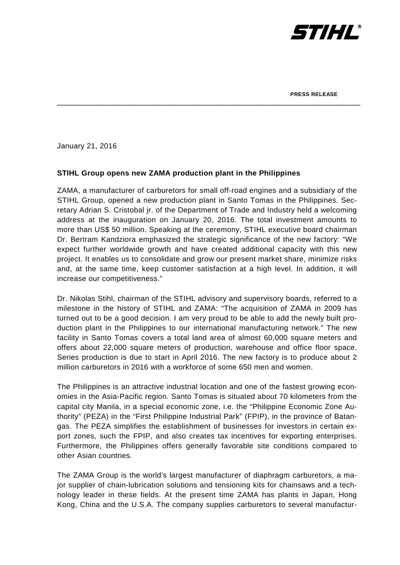

January 21, 2016

## **STIHL Group opens new ZAMA production plant in the Philippines**

ZAMA, a manufacturer of carburetors for small off-road engines and a subsidiary of the STIHL Group, opened a new production plant in Santo Tomas in the Philippines. Secretary Adrian S. Cristobal jr. of the Department of Trade and Industry held a welcoming address at the inauguration on January 20, 2016. The total investment amounts to more than US\$ 50 million. Speaking at the ceremony, STIHL executive board chairman Dr. Bertram Kandziora emphasized the strategic significance of the new factory: "We expect further worldwide growth and have created additional capacity with this new project. It enables us to consolidate and grow our present market share, minimize risks and, at the same time, keep customer satisfaction at a high level. In addition, it will increase our competitiveness."

Dr. Nikolas Stihl, chairman of the STIHL advisory and supervisory boards, referred to a milestone in the history of STIHL and ZAMA: "The acquisition of ZAMA in 2009 has turned out to be a good decision. I am very proud to be able to add the newly built production plant in the Philippines to our international manufacturing network." The new facility in Santo Tomas covers a total land area of almost 60,000 square meters and offers about 22,000 square meters of production, warehouse and office floor space. Series production is due to start in April 2016. The new factory is to produce about 2 million carburetors in 2016 with a workforce of some 650 men and women.

The Philippines is an attractive industrial location and one of the fastest growing economies in the Asia-Pacific region. Santo Tomas is situated about 70 kilometers from the capital city Manila, in a special economic zone, i.e. the "Philippine Economic Zone Authority" (PEZA) in the "First Philippine Industrial Park" (FPIP), in the province of Batangas. The PEZA simplifies the establishment of businesses for investors in certain export zones, such the FPIP, and also creates tax incentives for exporting enterprises. Furthermore, the Philippines offers generally favorable site conditions compared to other Asian countries.

The ZAMA Group is the world's largest manufacturer of diaphragm carburetors, a major supplier of chain-lubrication solutions and tensioning kits for chainsaws and a technology leader in these fields. At the present time ZAMA has plants in Japan, Hong Kong, China and the U.S.A. The company supplies carburetors to several manufactur-